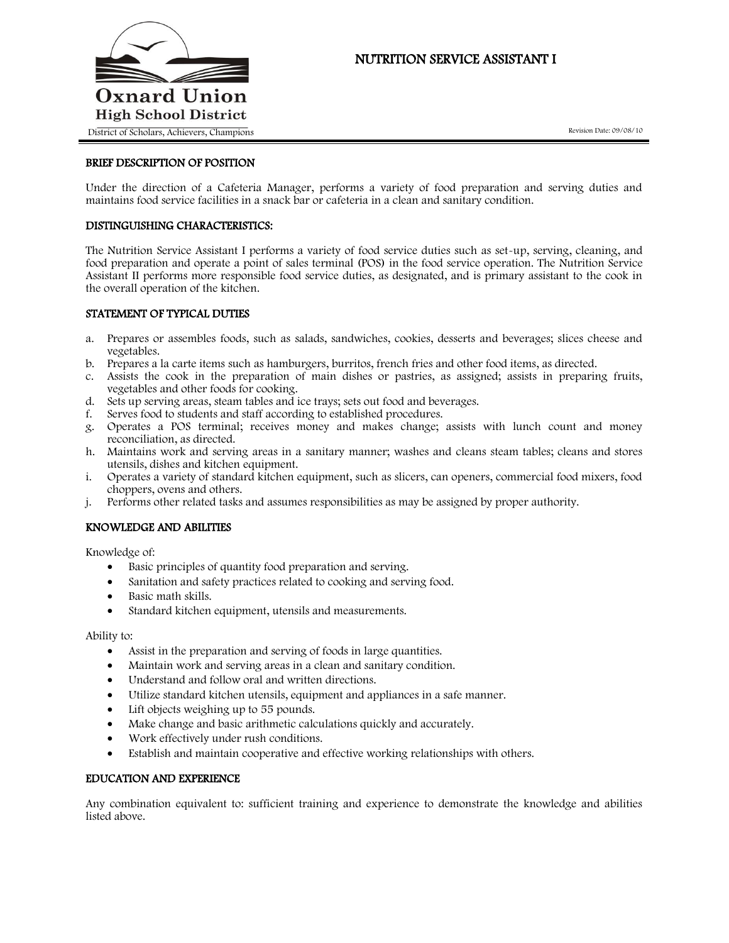

# NUTRITION SERVICE ASSISTANT I

Revision Date: 09/08/10

#### BRIEF DESCRIPTION OF POSITION

Under the direction of a Cafeteria Manager, performs a variety of food preparation and serving duties and maintains food service facilities in a snack bar or cafeteria in a clean and sanitary condition.

## DISTINGUISHING CHARACTERISTICS:

The Nutrition Service Assistant I performs a variety of food service duties such as set-up, serving, cleaning, and food preparation and operate a point of sales terminal (POS) in the food service operation. The Nutrition Service Assistant II performs more responsible food service duties, as designated, and is primary assistant to the cook in the overall operation of the kitchen.

#### STATEMENT OF TYPICAL DUTIES

- a. Prepares or assembles foods, such as salads, sandwiches, cookies, desserts and beverages; slices cheese and vegetables.
- b. Prepares a la carte items such as hamburgers, burritos, french fries and other food items, as directed.
- c. Assists the cook in the preparation of main dishes or pastries, as assigned; assists in preparing fruits, vegetables and other foods for cooking.
- d. Sets up serving areas, steam tables and ice trays; sets out food and beverages.
- f. Serves food to students and staff according to established procedures.
- g. Operates a POS terminal; receives money and makes change; assists with lunch count and money reconciliation, as directed.
- h. Maintains work and serving areas in a sanitary manner; washes and cleans steam tables; cleans and stores utensils, dishes and kitchen equipment.
- i. Operates a variety of standard kitchen equipment, such as slicers, can openers, commercial food mixers, food choppers, ovens and others.
- j. Performs other related tasks and assumes responsibilities as may be assigned by proper authority.

## KNOWLEDGE AND ABILITIES

Knowledge of:

- Basic principles of quantity food preparation and serving.
- Sanitation and safety practices related to cooking and serving food.
- Basic math skills.
- Standard kitchen equipment, utensils and measurements.

Ability to:

- Assist in the preparation and serving of foods in large quantities.
- Maintain work and serving areas in a clean and sanitary condition.
- Understand and follow oral and written directions.
- Utilize standard kitchen utensils, equipment and appliances in a safe manner.
- Lift objects weighing up to 55 pounds.
- Make change and basic arithmetic calculations quickly and accurately.
- Work effectively under rush conditions.
- Establish and maintain cooperative and effective working relationships with others.

#### EDUCATION AND EXPERIENCE

Any combination equivalent to: sufficient training and experience to demonstrate the knowledge and abilities listed above.